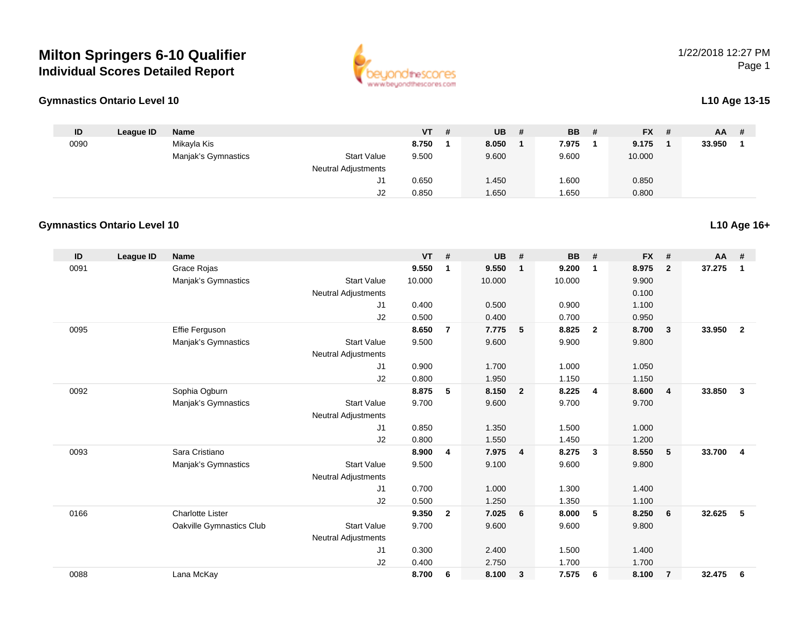## **Milton Springers 6-10 QualifierIndividual Scores Detailed Report**

#### **Gymnastics Ontario Level 10L10 Age 13-15**

| ID   | League ID | <b>Name</b>         |                            | <b>VT</b> | <b>UB</b> | <b>BB</b> | - # | <b>FX</b> | -# | AA     | # |
|------|-----------|---------------------|----------------------------|-----------|-----------|-----------|-----|-----------|----|--------|---|
| 0090 |           | Mikayla Kis         |                            | 8.750     | 8.050     | 7.975     |     | 9.175     |    | 33.950 |   |
|      |           | Manjak's Gymnastics | <b>Start Value</b>         | 9.500     | 9.600     | 9.600     |     | 10.000    |    |        |   |
|      |           |                     | <b>Neutral Adjustments</b> |           |           |           |     |           |    |        |   |
|      |           |                     | J1                         | 0.650     | .450      | .600      |     | 0.850     |    |        |   |
|      |           |                     | J2                         | 0.850     | .650      | 1.650     |     | 0.800     |    |        |   |

#### **Gymnastics Ontario Level 10**

| ID   | <b>League ID</b> | <b>Name</b>              |                            | <b>VT</b> | #              | <b>UB</b> | #                       | <b>BB</b> | #              | <b>FX</b> | #              | AA #   |                |
|------|------------------|--------------------------|----------------------------|-----------|----------------|-----------|-------------------------|-----------|----------------|-----------|----------------|--------|----------------|
| 0091 |                  | Grace Rojas              |                            | 9.550     | $\mathbf 1$    | 9.550     | $\mathbf{1}$            | 9.200     | -1             | 8.975     | $\mathbf{2}$   | 37.275 | $\mathbf 1$    |
|      |                  | Manjak's Gymnastics      | <b>Start Value</b>         | 10.000    |                | 10.000    |                         | 10.000    |                | 9.900     |                |        |                |
|      |                  |                          | Neutral Adjustments        |           |                |           |                         |           |                | 0.100     |                |        |                |
|      |                  |                          | J <sub>1</sub>             | 0.400     |                | 0.500     |                         | 0.900     |                | 1.100     |                |        |                |
|      |                  |                          | J2                         | 0.500     |                | 0.400     |                         | 0.700     |                | 0.950     |                |        |                |
| 0095 |                  | <b>Effie Ferguson</b>    |                            | 8.650     | $\overline{7}$ | 7.775     | 5                       | 8.825     | $\overline{2}$ | 8.700     | 3              | 33.950 | $\overline{2}$ |
|      |                  | Manjak's Gymnastics      | <b>Start Value</b>         | 9.500     |                | 9.600     |                         | 9.900     |                | 9.800     |                |        |                |
|      |                  |                          | <b>Neutral Adjustments</b> |           |                |           |                         |           |                |           |                |        |                |
|      |                  |                          | J1                         | 0.900     |                | 1.700     |                         | 1.000     |                | 1.050     |                |        |                |
|      |                  |                          | J2                         | 0.800     |                | 1.950     |                         | 1.150     |                | 1.150     |                |        |                |
| 0092 |                  | Sophia Ogburn            |                            | 8.875     | 5              | 8.150     | $\overline{2}$          | 8.225     | $\overline{4}$ | 8.600     | $\overline{4}$ | 33.850 | 3              |
|      |                  | Manjak's Gymnastics      | <b>Start Value</b>         | 9.700     |                | 9.600     |                         | 9.700     |                | 9.700     |                |        |                |
|      |                  |                          | <b>Neutral Adjustments</b> |           |                |           |                         |           |                |           |                |        |                |
|      |                  |                          | J <sub>1</sub>             | 0.850     |                | 1.350     |                         | 1.500     |                | 1.000     |                |        |                |
|      |                  |                          | J2                         | 0.800     |                | 1.550     |                         | 1.450     |                | 1.200     |                |        |                |
| 0093 |                  | Sara Cristiano           |                            | 8.900     | $\overline{4}$ | 7.975     | $\overline{\mathbf{4}}$ | 8.275     | 3              | 8.550     | 5              | 33.700 | $\overline{4}$ |
|      |                  | Manjak's Gymnastics      | <b>Start Value</b>         | 9.500     |                | 9.100     |                         | 9.600     |                | 9.800     |                |        |                |
|      |                  |                          | Neutral Adjustments        |           |                |           |                         |           |                |           |                |        |                |
|      |                  |                          | J <sub>1</sub>             | 0.700     |                | 1.000     |                         | 1.300     |                | 1.400     |                |        |                |
|      |                  |                          | J2                         | 0.500     |                | 1.250     |                         | 1.350     |                | 1.100     |                |        |                |
| 0166 |                  | <b>Charlotte Lister</b>  |                            | 9.350     | $\overline{2}$ | 7.025     | 6                       | 8.000     | 5              | 8.250     | 6              | 32.625 | 5              |
|      |                  | Oakville Gymnastics Club | <b>Start Value</b>         | 9.700     |                | 9.600     |                         | 9.600     |                | 9.800     |                |        |                |
|      |                  |                          | <b>Neutral Adjustments</b> |           |                |           |                         |           |                |           |                |        |                |
|      |                  |                          | J <sub>1</sub>             | 0.300     |                | 2.400     |                         | 1.500     |                | 1.400     |                |        |                |
|      |                  |                          | J2                         | 0.400     |                | 2.750     |                         | 1.700     |                | 1.700     |                |        |                |
| 0088 |                  | Lana McKay               |                            | 8.700     | 6              | 8.100     | $\mathbf{3}$            | 7.575     | 6              | 8.100     | $\overline{7}$ | 32.475 | 6              |



### **L10 Age 16+**